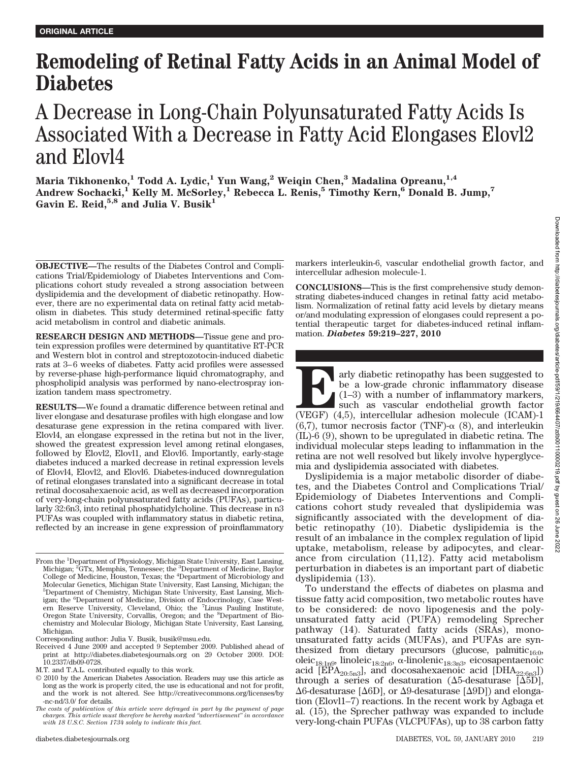# **Remodeling of Retinal Fatty Acids in an Animal Model of Diabetes**

## A Decrease in Long-Chain Polyunsaturated Fatty Acids Is Associated With a Decrease in Fatty Acid Elongases Elovl2 and Elovl4

**Maria Tikhonenko,1 Todd A. Lydic,1 Yun Wang,2 Weiqin Chen,3 Madalina Opreanu,1,4 Andrew Sochacki,1 Kelly M. McSorley,1 Rebecca L. Renis,5 Timothy Kern,6 Donald B. Jump,7 Gavin E. Reid,5,8 and Julia V. Busik1**

**OBJECTIVE—**The results of the Diabetes Control and Complications Trial/Epidemiology of Diabetes Interventions and Complications cohort study revealed a strong association between dyslipidemia and the development of diabetic retinopathy. However, there are no experimental data on retinal fatty acid metabolism in diabetes. This study determined retinal-specific fatty acid metabolism in control and diabetic animals.

**RESEARCH DESIGN AND METHODS—**Tissue gene and protein expression profiles were determined by quantitative RT-PCR and Western blot in control and streptozotocin-induced diabetic rats at 3–6 weeks of diabetes. Fatty acid profiles were assessed by reverse-phase high-performance liquid chromatography, and phospholipid analysis was performed by nano-electrospray ionization tandem mass spectrometry.

**RESULTS—**We found a dramatic difference between retinal and liver elongase and desaturase profiles with high elongase and low desaturase gene expression in the retina compared with liver. Elovl4, an elongase expressed in the retina but not in the liver, showed the greatest expression level among retinal elongases, followed by Elovl2, Elovl1, and Elovl6. Importantly, early-stage diabetes induced a marked decrease in retinal expression levels of Elovl4, Elovl2, and Elovl6. Diabetes-induced downregulation of retinal elongases translated into a significant decrease in total retinal docosahexaenoic acid, as well as decreased incorporation of very-long-chain polyunsaturated fatty acids (PUFAs), particularly 32:6n3, into retinal phosphatidylcholine. This decrease in n3 PUFAs was coupled with inflammatory status in diabetic retina, reflected by an increase in gene expression of proinflammatory

markers interleukin-6, vascular endothelial growth factor, and intercellular adhesion molecule-1.

**CONCLUSIONS—**This is the first comprehensive study demonstrating diabetes-induced changes in retinal fatty acid metabolism. Normalization of retinal fatty acid levels by dietary means or/and modulating expression of elongases could represent a potential therapeutic target for diabetes-induced retinal inflammation. *Diabetes* **59:219–227, 2010**

**Early diabetic retinopathy has been suggested to**<br>
(be a low-grade chronic inflammatory disease<br>
(1–3) with a number of inflammatory markers,<br>
such as vascular endothelial growth factor<br>
(VEGF) (4,5), intercellular adhesi be a low-grade chronic inflammatory disease (1–3) with a number of inflammatory markers, such as vascular endothelial growth factor (6,7), tumor necrosis factor (TNF)- $\alpha$  (8), and interleukin (IL)-6 (9), shown to be upregulated in diabetic retina. The individual molecular steps leading to inflammation in the retina are not well resolved but likely involve hyperglycemia and dyslipidemia associated with diabetes.

Dyslipidemia is a major metabolic disorder of diabetes, and the Diabetes Control and Complications Trial/ Epidemiology of Diabetes Interventions and Complications cohort study revealed that dyslipidemia was significantly associated with the development of diabetic retinopathy (10). Diabetic dyslipidemia is the result of an imbalance in the complex regulation of lipid uptake, metabolism, release by adipocytes, and clearance from circulation (11,12). Fatty acid metabolism perturbation in diabetes is an important part of diabetic dyslipidemia (13).

To understand the effects of diabetes on plasma and tissue fatty acid composition, two metabolic routes have to be considered: de novo lipogenesis and the polyunsaturated fatty acid (PUFA) remodeling Sprecher pathway (14). Saturated fatty acids (SRAs), monounsaturated fatty acids (MUFAs), and PUFAs are synthesized from dietary precursors (glucose, palmitic<sub>16:0</sub>, oleic<sub>18:1n9</sub>, linoleic<sub>18:2n6</sub>,  $\alpha$ -linolenic<sub>18:3n3</sub>, eicosapentaenoic acid [EPA<sub>20:5n3</sub>], and docosahexaenoic acid [DHA<sub>22:6n3</sub>]) through a series of desaturation ( $\Delta$ 5-desaturase [ $\Delta$ 5D],  $\Delta 6$ -desaturase [ $\Delta 6D$ ], or  $\Delta 9$ -desaturase [ $\Delta 9D$ ]) and elongation (Elovl1–7) reactions. In the recent work by Agbaga et al. (15), the Sprecher pathway was expanded to include very-long-chain PUFAs (VLCPUFAs), up to 38 carbon fatty

From the <sup>1</sup>Department of Physiology, Michigan State University, East Lansing, Michigan; <sup>2</sup>GTx, Memphis, Tennessee; the <sup>3</sup>Department of Medicine, Baylor<br>College of Medicine, Houston, Texas; the <sup>4</sup>Department of Microbiology and Molecular Genetics, Michigan State University, East Lansing, Michigan; the 5 Department of Chemistry, Michigan State University, East Lansing, Michigan; the <sup>6</sup>Department of Medicine, Division of Endocrinology, Case Western Reserve University, Cleveland, Ohio; the <sup>7</sup>Linus Pauling Institute, Oregon State University, Corvallis, Oregon; and the <sup>8</sup>Department of Biochemistry and Molecular Biology, Michigan State University, East Lansing, Michigan.

Corresponding author: Julia V. Busik, busik@msu.edu.

Received 4 June 2009 and accepted 9 September 2009. Published ahead of print at http://diabetes.diabetesjournals.org on 29 October 2009. DOI: 10.2337/db09-0728.

M.T. and T.A.L. contributed equally to this work.

<sup>© 2010</sup> by the American Diabetes Association. Readers may use this article as long as the work is properly cited, the use is educational and not for profit, and the work is not altered. See http://creativecommons.org/licenses/by -nc-nd/3.0/ for details.

*The costs of publication of this article were defrayed in part by the payment of page charges. This article must therefore be hereby marked "advertisement" in accordance with 18 U.S.C. Section 1734 solely to indicate this fact.*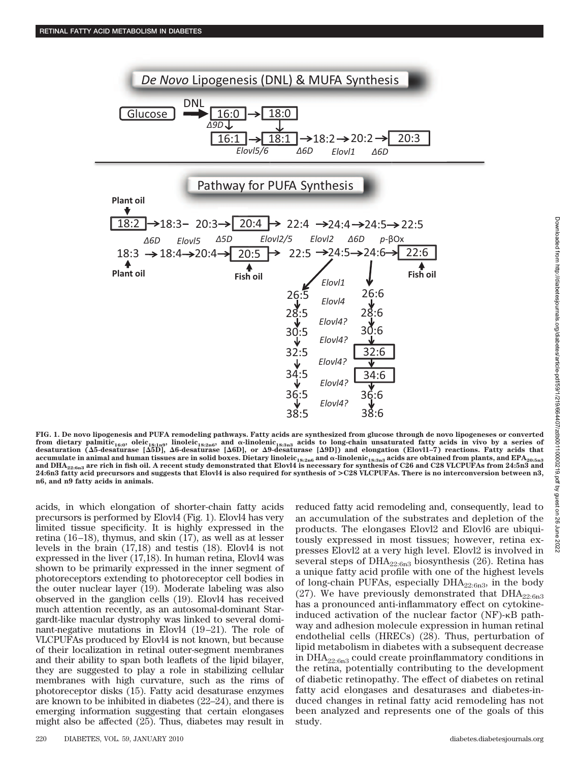

**FIG. 1. De novo lipogenesis and PUFA remodeling pathways. Fatty acids are synthesized from glucose through de novo lipogeneses or converted** from dietary palmitic<sub>16:0</sub>, oleic<sub>18:1n9</sub>, linoleic<sub>18:2n6</sub>, and α-linolenic<sub>18:3n3</sub> acids to long-chain unsaturated fatty acids in vivo by a series of<br>desaturation (Δ5-desaturase [Δ5D], Δ6-desaturase [Δ6D], or Δ9-desatu  $\alpha$  accumulate in animal and human tissues are in solid boxes. Dietary linoleic<sub>18:2n6</sub> and  $\alpha$ -linolenic<sub>18:3n3</sub> acids are obtained from plants, and EPA<sub>20:5n3</sub> **and DHA22:6n3 are rich in fish oil. A recent study demonstrated that Elovl4 is necessary for synthesis of C26 and C28 VLCPUFAs from 24:5n3 and 24:6n3 fatty acid precursors and suggests that Elovl4 is also required for synthesis of >C28 VLCPUFAs. There is no interconversion between n3, n6, and n9 fatty acids in animals.**

acids, in which elongation of shorter-chain fatty acids precursors is performed by Elovl4 (Fig. 1). Elovl4 has very limited tissue specificity. It is highly expressed in the retina (16 –18), thymus, and skin (17), as well as at lesser levels in the brain (17,18) and testis (18). Elovl4 is not expressed in the liver (17,18). In human retina, Elovl4 was shown to be primarily expressed in the inner segment of photoreceptors extending to photoreceptor cell bodies in the outer nuclear layer (19). Moderate labeling was also observed in the ganglion cells (19). Elovl4 has received much attention recently, as an autosomal-dominant Stargardt-like macular dystrophy was linked to several dominant-negative mutations in Elovl4 (19 –21). The role of VLCPUFAs produced by Elovl4 is not known, but because of their localization in retinal outer-segment membranes and their ability to span both leaflets of the lipid bilayer, they are suggested to play a role in stabilizing cellular membranes with high curvature, such as the rims of photoreceptor disks (15). Fatty acid desaturase enzymes are known to be inhibited in diabetes (22–24), and there is emerging information suggesting that certain elongases might also be affected (25). Thus, diabetes may result in reduced fatty acid remodeling and, consequently, lead to an accumulation of the substrates and depletion of the products. The elongases Elovl2 and Elovl6 are ubiquitously expressed in most tissues; however, retina expresses Elovl2 at a very high level. Elovl2 is involved in several steps of  $DHA_{22:6n3}$  biosynthesis (26). Retina has a unique fatty acid profile with one of the highest levels of long-chain PUFAs, especially  $DHA_{22:6n3}$ , in the body (27). We have previously demonstrated that  $DHA_{22:6n3}$ has a pronounced anti-inflammatory effect on cytokineinduced activation of the nuclear factor  $(NF)$ - $\kappa$ B pathway and adhesion molecule expression in human retinal endothelial cells (HRECs) (28). Thus, perturbation of lipid metabolism in diabetes with a subsequent decrease in  $\text{DHA}_{22:6n3}$  could create proinflammatory conditions in the retina, potentially contributing to the development of diabetic retinopathy. The effect of diabetes on retinal fatty acid elongases and desaturases and diabetes-induced changes in retinal fatty acid remodeling has not been analyzed and represents one of the goals of this study.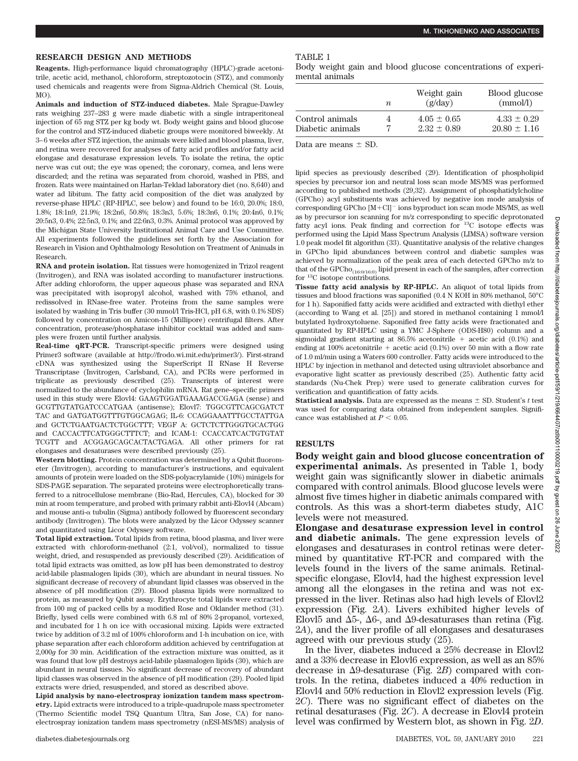#### **RESEARCH DESIGN AND METHODS**

**Reagents.** High-performance liquid chromatography (HPLC)-grade acetonitrile, acetic acid, methanol, chloroform, streptozotocin (STZ), and commonly used chemicals and reagents were from Sigma-Aldrich Chemical (St. Louis, MO).

**Animals and induction of STZ-induced diabetes.** Male Sprague-Dawley rats weighing 237–283 g were made diabetic with a single intraperitoneal injection of 65 mg STZ per kg body wt. Body weight gains and blood glucose for the control and STZ-induced diabetic groups were monitored biweekly. At 3– 6 weeks after STZ injection, the animals were killed and blood plasma, liver, and retina were recovered for analyses of fatty acid profiles and/or fatty acid elongase and desaturase expression levels. To isolate the retina, the optic nerve was cut out; the eye was opened; the coronary, cornea, and lens were discarded; and the retina was separated from choroid, washed in PBS, and frozen. Rats were maintained on Harlan-Teklad laboratory diet (no. 8,640) and water ad libitum. The fatty acid composition of the diet was analyzed by reverse-phase HPLC (RP-HPLC, see below) and found to be 16:0, 20.0%; 18:0, 1.8%; 18:1n9, 21.9%; 18:2n6, 50.8%; 18:3n3, 5.6%; 18:3n6, 0.1%; 20:4n6, 0.1%; 20:5n3, 0.4%; 22:5n3, 0.1%; and 22:6n3, 0.3%. Animal protocol was approved by the Michigan State University Institutional Animal Care and Use Committee. All experiments followed the guidelines set forth by the Association for Research in Vision and Ophthalmology Resolution on Treatment of Animals in Research.

**RNA and protein isolation.** Rat tissues were homogenized in Trizol reagent (Invitrogen), and RNA was isolated according to manufacturer instructions. After adding chloroform, the upper aqueous phase was separated and RNA was precipitated with isopropyl alcohol, washed with 75% ethanol, and redissolved in RNase-free water. Proteins from the same samples were isolated by washing in Tris buffer (30 mmol/l Tris-HCl, pH 6.8, with 0.1% SDS) followed by concentration on Amicon-15 (Millipore) centrifugal filters. After concentration, protease/phosphatase inhibitor cocktail was added and samples were frozen until further analysis.

**Real-time qRT-PCR.** Transcript-specific primers were designed using Primer3 software (available at http://frodo.wi.mit.edu/primer3/). First-strand cDNA was synthesized using the SuperScript II RNase H Reverse Transcriptase (Invitrogen, Carlsband, CA), and PCRs were performed in triplicate as previously described (25). Transcripts of interest were normalized to the abundance of cyclophilin mRNA. Rat gene–specific primers used in this study were Elovl4: GAAGTGGATGAAAGACCGAGA (sense) and GCGTTGTATGATCCCATGAA (antisense); Elovl7: TGGCGTTCAGCGATCT TAC and GATGATGGTTTGTGGCAGAG; IL-6: CCAGGAAATTTGCCTATTGA and GCTCTGAATGACTCTGGCTTT; VEGF A: GCTCTCTTGGGTGCACTGG and CACCACTTCATGGGCTTTCT; and ICAM-1: CCACCATCACTGTGTAT TCGTT and ACGGAGCAGCACTACTGAGA. All other primers for rat elongases and desaturases were described previously (25).

**Western blotting.** Protein concentration was determined by a Qubit fluorometer (Invitrogen), according to manufacturer's instructions, and equivalent amounts of protein were loaded on the SDS-polyacrylamide (10%) minigels for SDS-PAGE separation. The separated proteins were electrophoretically transferred to a nitrocellulose membrane (Bio-Rad, Hercules, CA), blocked for 30 min at room temperature, and probed with primary rabbit anti-Elovl4 (Abcam) and mouse anti- $\alpha$  tubulin (Sigma) antibody followed by fluorescent secondary antibody (Invitrogen). The blots were analyzed by the Licor Odyssey scanner and quantitated using Licor Odyssey software.

**Total lipid extraction.** Total lipids from retina, blood plasma, and liver were extracted with chloroform-methanol (2:1, vol/vol), normalized to tissue weight, dried, and resuspended as previously described (29). Acidification of total lipid extracts was omitted, as low pH has been demonstrated to destroy acid-labile plasmalogen lipids (30), which are abundant in neural tissues. No significant decrease of recovery of abundant lipid classes was observed in the absence of pH modification (29). Blood plasma lipids were normalized to protein, as measured by Qubit assay. Erythrocyte total lipids were extracted from 100 mg of packed cells by a modified Rose and Oklander method (31). Briefly, lysed cells were combined with 6.8 ml of 80% 2-propanol, vortexed, and incubated for 1 h on ice with occasional mixing. Lipids were extracted twice by addition of 3.2 ml of 100% chloroform and 1-h incubation on ice, with phase separation after each chloroform addition achieved by centrifugation at 2,000*g* for 30 min. Acidification of the extraction mixture was omitted, as it was found that low pH destroys acid-labile plasmalogen lipids (30), which are abundant in neural tissues. No significant decrease of recovery of abundant lipid classes was observed in the absence of pH modification (29). Pooled lipid extracts were dried, resuspended, and stored as described above.

**Lipid analysis by nano-electrospray ionization tandem mass spectrometry.** Lipid extracts were introduced to a triple-quadrupole mass spectrometer (Thermo Scientific model TSQ Quantum Ultra, San Jose, CA) for nanoelectrospray ionization tandem mass spectrometry (nESI-MS/MS) analysis of mental animals

|                  | n | Weight gain<br>(g/day) | Blood glucose<br>(mmol/l) |
|------------------|---|------------------------|---------------------------|
| Control animals  | 4 | $4.05 \pm 0.65$        | $4.33 \pm 0.29$           |
| Diabetic animals |   | $2.32 + 0.89$          | $20.80 \pm 1.16$          |

Data are means  $\pm$  SD.

lipid species as previously described (29). Identification of phospholipid species by precursor ion and neutral loss scan mode MS/MS was performed according to published methods (29,32). Assignment of phosphatidylcholine (GPCho) acyl substituents was achieved by negative ion mode analysis of corresponding GPCho  $[M+C1]$ <sup>-</sup> ions byproduct ion scan mode MS/MS, as well as by precursor ion scanning for m/z corresponding to specific deprotonated fatty acyl ions. Peak finding and correction for 13C isotope effects was performed using the Lipid Mass Spectrum Analysis (LIMSA) software version 1.0 peak model fit algorithm (33). Quantitative analysis of the relative changes in GPCho lipid abundances between control and diabetic samples was achieved by normalization of the peak area of each detected GPCho m/z to that of the GPCho $_{(16:0/16:0)}$  lipid present in each of the samples, after correction for 13C isotope contributions.

**Tissue fatty acid analysis by RP-HPLC.** An aliquot of total lipids from tissues and blood fractions was saponified (0.4 N KOH in 80% methanol, 50°C for 1 h). Saponified fatty acids were acidified and extracted with diethyl ether (according to Wang et al. [25]) and stored in methanol containing 1 mmol/l butylated hydroxytoluene. Saponified free fatty acids were fractionated and quantitated by RP-HPLC using a YMC J-Sphere (ODS-H80) column and a sigmoidal gradient starting at  $86.5\%$  acetonitrile + acetic acid (0.1%) and ending at 100% acetonitrile  $+$  acetic acid (0.1%) over 50 min with a flow rate of 1.0 ml/min using a Waters 600 controller. Fatty acids were introduced to the HPLC by injection in methanol and detected using ultraviolet absorbance and evaporative light scatter as previously described (25). Authentic fatty acid standards (Nu-Chek Prep) were used to generate calibration curves for verification and quantification of fatty acids.

**Statistical analysis.** Data are expressed as the means  $\pm$  SD. Student's *t* test was used for comparing data obtained from independent samples. Significance was established at  $P < 0.05$ .

## **RESULTS**

**Body weight gain and blood glucose concentration of experimental animals.** As presented in Table 1, body weight gain was significantly slower in diabetic animals compared with control animals. Blood glucose levels were almost five times higher in diabetic animals compared with controls. As this was a short-term diabetes study, A1C levels were not measured.

**Elongase and desaturase expression level in control and diabetic animals.** The gene expression levels of elongases and desaturases in control retinas were determined by quantitative RT-PCR and compared with the levels found in the livers of the same animals. Retinalspecific elongase, Elovl4, had the highest expression level among all the elongases in the retina and was not expressed in the liver. Retinas also had high levels of Elovl2 expression (Fig. 2*A*). Livers exhibited higher levels of Elovl5 and  $\Delta$ 5-,  $\Delta$ 6-, and  $\Delta$ 9-desaturases than retina (Fig. 2*A*), and the liver profile of all elongases and desaturases agreed with our previous study (25).

In the liver, diabetes induced a 25% decrease in Elovl2 and a 33% decrease in Elovl6 expression, as well as an 85% decrease in  $\Delta 9$ -desaturase (Fig. 2*B*) compared with controls. In the retina, diabetes induced a 40% reduction in Elovl4 and 50% reduction in Elovl2 expression levels (Fig. 2*C*). There was no significant effect of diabetes on the retinal desaturases (Fig. 2*C*). A decrease in Elovl4 protein level was confirmed by Western blot, as shown in Fig. 2*D*.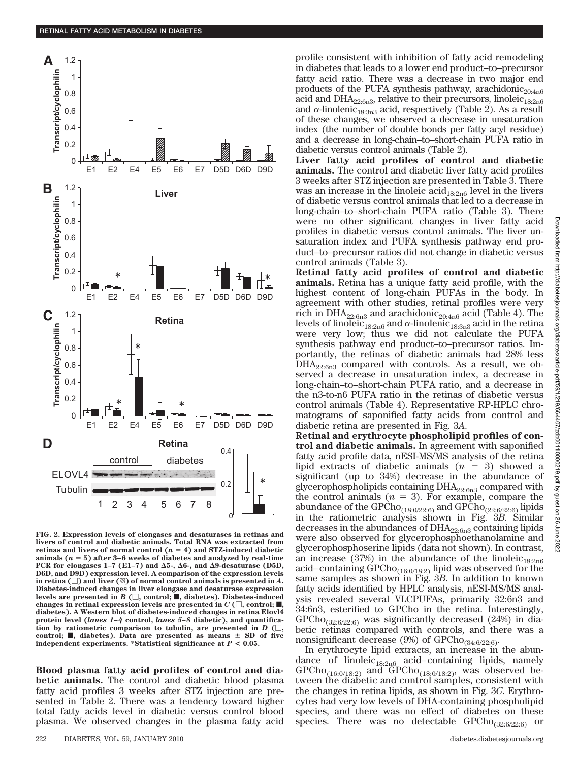

**FIG. 2. Expression levels of elongases and desaturases in retinas and livers of control and diabetic animals. Total RNA was extracted from retinas and livers of normal control**  $(n = 4)$  **and STZ-induced diabetic** animals  $(n = 5)$  after  $3-6$  weeks of diabetes and analyzed by real-time PCR for elongases  $1-7$  (E1-7) and  $\Delta 5$ -,  $\Delta 6$ -, and  $\Delta 9$ -desaturase (D5D, **D6D, and D9D) expression level. A comparison of the expression levels** in retina  $(\Box)$  and liver  $(\mathbb{S})$  of normal control animals is presented in  $A$ **. Diabetes-induced changes in liver elongase and desaturase expression** levels are presented in  $B$  ( $\Box$ , control;  $\blacksquare$ , diabetes). Diabetes-induced changes in retinal expression levels are presented in  $C \left(\Box\right)$ , control;  $\blacksquare$ , **diabetes). A Western blot of diabetes-induced changes in retina Elovl4 protein level (***lanes 1– 4* **control,** *lanes 5– 8* **diabetic), and quantification by ratiometric comparison to tubulin, are presented in** *D* **(,** control;  $\blacksquare$ , diabetes). Data are presented as means  $\pm$  SD of five **independent experiments. \*Statistical significance at** *P* **< 0.05.**

**Blood plasma fatty acid profiles of control and diabetic animals.** The control and diabetic blood plasma fatty acid profiles 3 weeks after STZ injection are presented in Table 2. There was a tendency toward higher total fatty acids level in diabetic versus control blood plasma. We observed changes in the plasma fatty acid

profile consistent with inhibition of fatty acid remodeling in diabetes that leads to a lower end product–to–precursor fatty acid ratio. There was a decrease in two major end products of the PUFA synthesis pathway, arachidonic<sub>20:4n6</sub> acid and DHA<sub>22:6n3</sub>, relative to their precursors, linoleic<sub>18:2n6</sub> and  $\alpha$ -linolenic<sub>18:3n3</sub> acid, respectively (Table 2). As a result of these changes, we observed a decrease in unsaturation index (the number of double bonds per fatty acyl residue) and a decrease in long-chain–to–short-chain PUFA ratio in diabetic versus control animals (Table 2).

**Liver fatty acid profiles of control and diabetic animals.** The control and diabetic liver fatty acid profiles 3 weeks after STZ injection are presented in Table 3. There was an increase in the linoleic  $\ar{acid}_{18:2n6}$  level in the livers of diabetic versus control animals that led to a decrease in long-chain–to–short-chain PUFA ratio (Table 3). There were no other significant changes in liver fatty acid profiles in diabetic versus control animals. The liver unsaturation index and PUFA synthesis pathway end product–to–precursor ratios did not change in diabetic versus control animals (Table 3).

**Retinal fatty acid profiles of control and diabetic animals.** Retina has a unique fatty acid profile, with the highest content of long-chain PUFAs in the body. In agreement with other studies, retinal profiles were very rich in DHA<sub>22:6n3</sub> and arachidonic<sub>20:4n6</sub> acid (Table 4). The levels of linoleic<sub>18:2n6</sub> and  $\alpha$ -linolenic<sub>18:3n3</sub> acid in the retina were very low; thus we did not calculate the PUFA synthesis pathway end product–to–precursor ratios. Importantly, the retinas of diabetic animals had 28% less  $DHA_{22:6n3}$  compared with controls. As a result, we observed a decrease in unsaturation index, a decrease in long-chain–to–short-chain PUFA ratio, and a decrease in the n3-to-n6 PUFA ratio in the retinas of diabetic versus control animals (Table 4). Representative RP-HPLC chromatograms of saponified fatty acids from control and diabetic retina are presented in Fig. 3*A*.

**Retinal and erythrocyte phospholipid profiles of control and diabetic animals.** In agreement with saponified fatty acid profile data, nESI-MS/MS analysis of the retina lipid extracts of diabetic animals  $(n = 3)$  showed a significant (up to 34%) decrease in the abundance of glycerophospholipids containing DHA22:6n3 compared with the control animals  $(n = 3)$ . For example, compare the abundance of the GPCho<sub>(18:0/22:6)</sub> and GPCho<sub>(22:6/22:6)</sub> lipids in the ratiometric analysis shown in Fig. 3*B*. Similar decreases in the abundances of  $DHA_{22:6n3}$  containing lipids were also observed for glycerophosphoethanolamine and glycerophosphoserine lipids (data not shown). In contrast, an increase (37%) in the abundance of the linoleic<sub>18:2n6</sub> acid–containing  $\text{GPCho}_{(16:0/18:2)}$  lipid was observed for the same samples as shown in Fig. 3*B*. In addition to known fatty acids identified by HPLC analysis, nESI-MS/MS analysis revealed several VLCPUFAs, primarily 32:6n3 and 34:6n3, esterified to GPCho in the retina. Interestingly, GPCho $_{(32:6/22:6)}$  was significantly decreased (24%) in diabetic retinas compared with controls, and there was a nonsignificant decrease (9%) of  $\text{GPCho}_{(34:6/22:6)}$ .

In erythrocyte lipid extracts, an increase in the abundance of linoleic $_{18:2n6}$  acid–containing lipids, namely  $\text{GPCho}_{(16:0/18:2)}$  and  $\text{GPCho}_{(18:0/18:2)}$ , was observed between the diabetic and control samples, consistent with the changes in retina lipids, as shown in Fig. 3*C*. Erythrocytes had very low levels of DHA-containing phospholipid species, and there was no effect of diabetes on these species. There was no detectable  $\text{GPCho}_{(32:6/22:6)}$  or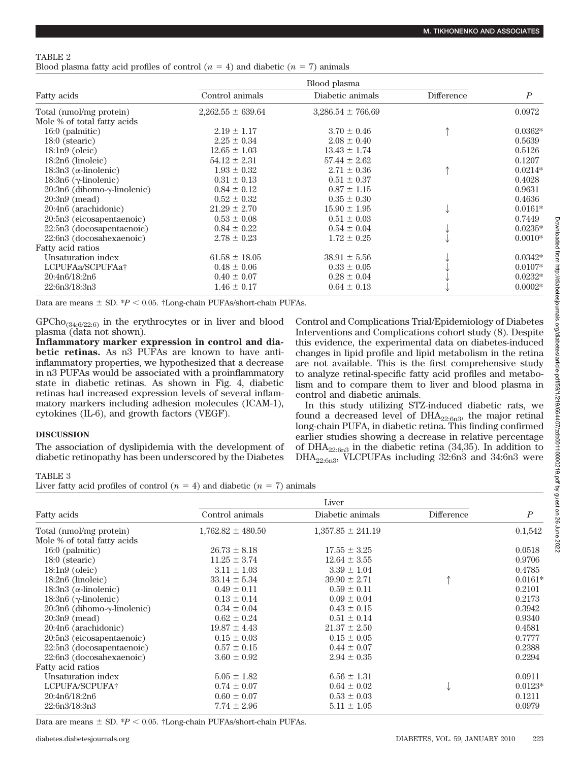## TABLE 2

Blood plasma fatty acid profiles of control  $(n = 4)$  and diabetic  $(n = 7)$  animals

| Fatty acids                            | Blood plasma          |                       |            |                  |
|----------------------------------------|-----------------------|-----------------------|------------|------------------|
|                                        | Control animals       | Diabetic animals      | Difference | $\boldsymbol{P}$ |
| Total (nmol/mg protein)                | $2,262.55 \pm 639.64$ | $3,286.54 \pm 766.69$ |            | 0.0972           |
| Mole % of total fatty acids            |                       |                       |            |                  |
| $16:0$ (palmitic)                      | $2.19 \pm 1.17$       | $3.70 \pm 0.46$       |            | $0.0362*$        |
| $18:0$ (stearic)                       | $2.25 \pm 0.34$       | $2.08 \pm 0.40$       |            | 0.5639           |
| $18:1n9$ (oleic)                       | $12.65 \pm 1.03$      | $13.43 \pm 1.74$      |            | 0.5126           |
| $18:2n6$ (linoleic)                    | $54.12 \pm 2.31$      | $57.44 \pm 2.62$      |            | 0.1207           |
| 18:3n3 ( $\alpha$ -linolenic)          | $1.93 \pm 0.32$       | $2.71 \pm 0.36$       |            | $0.0214*$        |
| $18:3n6$ ( $\gamma$ -linolenic)        | $0.31 \pm 0.13$       | $0.51 \pm 0.37$       |            | 0.4028           |
| $20:3n6$ (dihomo- $\gamma$ -linolenic) | $0.84 \pm 0.12$       | $0.87 \pm 1.15$       |            | 0.9631           |
| $20:3n9$ (mead)                        | $0.52 \pm 0.32$       | $0.35 \pm 0.30$       |            | 0.4636           |
| 20:4n6 (arachidonic)                   | $21.29 \pm 2.70$      | $15.90 \pm 1.95$      |            | $0.0161*$        |
| 20:5n3 (eicosapentaenoic)              | $0.53 \pm 0.08$       | $0.51 \pm 0.03$       |            | 0.7449           |
| 22:5n3 (docosapentaenoic)              | $0.84 \pm 0.22$       | $0.54 \pm 0.04$       |            | $0.0235*$        |
| 22:6n3 (docosahexaenoic)               | $2.78 \pm 0.23$       | $1.72 \pm 0.25$       |            | $0.0010*$        |
| Fatty acid ratios                      |                       |                       |            |                  |
| Unsaturation index                     | $61.58 \pm 18.05$     | $38.91 \pm 5.56$      |            | $0.0342*$        |
| LCPUFAa/SCPUFAa†                       | $0.48 \pm 0.06$       | $0.33 \pm 0.05$       |            | $0.0107*$        |
| 20:4n6/18:2n6                          | $0.40 \pm 0.07$       | $0.28 \pm 0.04$       |            | $0.0232*$        |
| 22:6n3/18:3n3                          | $1.46 \pm 0.17$       | $0.64 \pm 0.13$       |            | $0.0002*$        |

Data are means  $\pm$  SD.  $*P$  < 0.05.  $\dagger$ Long-chain PUFAs/short-chain PUFAs.

 $\mathrm{GPCho}_{(34:6/22:6)}$  in the erythrocytes or in liver and blood plasma (data not shown).

**Inflammatory marker expression in control and diabetic retinas.** As n3 PUFAs are known to have antiinflammatory properties, we hypothesized that a decrease in n3 PUFAs would be associated with a proinflammatory state in diabetic retinas. As shown in Fig. 4, diabetic retinas had increased expression levels of several inflammatory markers including adhesion molecules (ICAM-1), cytokines (IL-6), and growth factors (VEGF).

## **DISCUSSION**

The association of dyslipidemia with the development of diabetic retinopathy has been underscored by the Diabetes Control and Complications Trial/Epidemiology of Diabetes Interventions and Complications cohort study (8). Despite this evidence, the experimental data on diabetes-induced changes in lipid profile and lipid metabolism in the retina are not available. This is the first comprehensive study to analyze retinal-specific fatty acid profiles and metabolism and to compare them to liver and blood plasma in control and diabetic animals.

In this study utilizing STZ-induced diabetic rats, we found a decreased level of  $DHA_{22:6n3}$ , the major retinal long-chain PUFA, in diabetic retina. This finding confirmed earlier studies showing a decrease in relative percentage of DHA<sub>22:6n3</sub> in the diabetic retina  $(34,35)$ . In addition to DHA22:6n3, VLCPUFAs including 32:6n3 and 34:6n3 were

## TABLE 3

Liver fatty acid profiles of control  $(n = 4)$  and diabetic  $(n = 7)$  animals

| <b>Fatty</b> acids                     | Liver                 |                       |            |                  |
|----------------------------------------|-----------------------|-----------------------|------------|------------------|
|                                        | Control animals       | Diabetic animals      | Difference | $\boldsymbol{P}$ |
| Total (nmol/mg protein)                | $1,762.82 \pm 480.50$ | $1,357.85 \pm 241.19$ |            | 0.1,542          |
| Mole % of total fatty acids            |                       |                       |            |                  |
| $16:0$ (palmitic)                      | $26.73 \pm 8.18$      | $17.55 \pm 3.25$      |            | 0.0518           |
| $18:0$ (stearic)                       | $11.25 \pm 3.74$      | $12.64 \pm 3.55$      |            | 0.9706           |
| $18:1n9$ (oleic)                       | $3.11 \pm 1.03$       | $3.39 \pm 1.04$       |            | 0.4785           |
| $18:2n6$ (linoleic)                    | $33.14 \pm 5.34$      | $39.90 \pm 2.71$      |            | $0.0161*$        |
| $18:3n3$ ( $\alpha$ -linolenic)        | $0.49 \pm 0.11$       | $0.59 \pm 0.11$       |            | 0.2101           |
| $18:3n6$ ( $\gamma$ -linolenic)        | $0.13 \pm 0.14$       | $0.09 \pm 0.04$       |            | 0.2173           |
| $20:3n6$ (dihomo- $\gamma$ -linolenic) | $0.34 \pm 0.04$       | $0.43 \pm 0.15$       |            | 0.3942           |
| $20:3n9$ (mead)                        | $0.62 \pm 0.24$       | $0.51 \pm 0.14$       |            | 0.9340           |
| 20:4n6 (arachidonic)                   | $19.87 \pm 4.43$      | $21.37 \pm 2.50$      |            | 0.4581           |
| 20:5n3 (eicosapentaenoic)              | $0.15 \pm 0.03$       | $0.15 \pm 0.05$       |            | 0.7777           |
| 22:5n3 (docosapentaenoic)              | $0.57 \pm 0.15$       | $0.44 \pm 0.07$       |            | 0.2388           |
| 22:6n3 (docosahexaenoic)               | $3.60 \pm 0.92$       | $2.94 \pm 0.35$       |            | 0.2294           |
| Fatty acid ratios                      |                       |                       |            |                  |
| Unsaturation index                     | $5.05 \pm 1.82$       | $6.56 \pm 1.31$       |            | 0.0911           |
| LCPUFA/SCPUFA†                         | $0.74 \pm 0.07$       | $0.64 \pm 0.02$       |            | $0.0123*$        |
| 20:4n6/18:2n6                          | $0.60 \pm 0.07$       | $0.53 \pm 0.03$       |            | 0.1211           |
| 22:6n3/18:3n3                          | $7.74 \pm 2.96$       | $5.11 \pm 1.05$       |            | 0.0979           |

Data are means  $\pm$  SD.  $*P$  < 0.05.  $\dagger$ Long-chain PUFAs/short-chain PUFAs.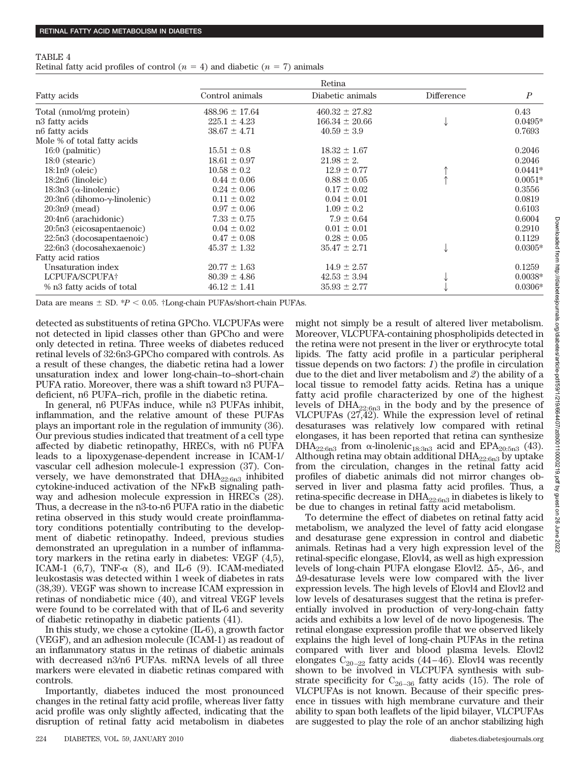#### TABLE 4

Retinal fatty acid profiles of control  $(n = 4)$  and diabetic  $(n = 7)$  animals

| Fatty acids                            | Retina             |                    |            |                  |
|----------------------------------------|--------------------|--------------------|------------|------------------|
|                                        | Control animals    | Diabetic animals   | Difference | $\boldsymbol{P}$ |
| Total (nmol/mg protein)                | $488.96 \pm 17.64$ | $460.32 \pm 27.82$ |            | 0.43             |
| n <sub>3</sub> fatty acids             | $225.1 \pm 4.23$   | $166.34 \pm 20.66$ |            | $0.0495*$        |
| n <sub>6</sub> fatty acids             | $38.67 \pm 4.71$   | $40.59 \pm 3.9$    |            | 0.7693           |
| Mole % of total fatty acids            |                    |                    |            |                  |
| $16:0$ (palmitic)                      | $15.51 \pm 0.8$    | $18.32 \pm 1.67$   |            | 0.2046           |
| $18:0$ (stearic)                       | $18.61 \pm 0.97$   | $21.98 \pm 2.$     |            | 0.2046           |
| $18:1n9$ (oleic)                       | $10.58 \pm 0.2$    | $12.9 \pm 0.77$    |            | $0.0441*$        |
| $18:2n6$ (linoleic)                    | $0.44 \pm 0.06$    | $0.88 \pm 0.05$    |            | $0.0051*$        |
| $18:3n3$ ( $\alpha$ -linolenic)        | $0.24 \pm 0.06$    | $0.17 \pm 0.02$    |            | 0.3556           |
| $20:3n6$ (dihomo- $\gamma$ -linolenic) | $0.11 \pm 0.02$    | $0.04 \pm 0.01$    |            | 0.0819           |
| $20:3n9$ (mead)                        | $0.97 \pm 0.06$    | $1.09 \pm 0.2$     |            | 0.6103           |
| 20:4n6 (arachidonic)                   | $7.33 \pm 0.75$    | $7.9 \pm 0.64$     |            | 0.6004           |
| 20:5n3 (eicosapentaenoic)              | $0.04 \pm 0.02$    | $0.01 \pm 0.01$    |            | 0.2910           |
| 22:5n3 (docosapentaenoic)              | $0.47 \pm 0.08$    | $0.28 \pm 0.05$    |            | 0.1129           |
| 22:6n3 (docosahexaenoic)               | $45.37 \pm 1.32$   | $35.47 \pm 2.71$   |            | $0.0305*$        |
| Fatty acid ratios                      |                    |                    |            |                  |
| Unsaturation index                     | $20.77 \pm 1.63$   | $14.9 \pm 2.57$    |            | 0.1259           |
| LCPUFA/SCPUFA†                         | $80.39 \pm 4.86$   | $42.53 \pm 3.94$   |            | $0.0038*$        |
| % n3 fatty acids of total              | $46.12 \pm 1.41$   | $35.93 \pm 2.77$   |            | $0.0306*$        |

Data are means  $\pm$  SD.  $*P$  < 0.05.  $\dagger$ Long-chain PUFAs/short-chain PUFAs.

detected as substituents of retina GPCho. VLCPUFAs were not detected in lipid classes other than GPCho and were only detected in retina. Three weeks of diabetes reduced retinal levels of 32:6n3-GPCho compared with controls. As a result of these changes, the diabetic retina had a lower unsaturation index and lower long-chain–to–short-chain PUFA ratio. Moreover, there was a shift toward n3 PUFA– deficient, n6 PUFA–rich, profile in the diabetic retina.

In general, n6 PUFAs induce, while n3 PUFAs inhibit, inflammation, and the relative amount of these PUFAs plays an important role in the regulation of immunity (36). Our previous studies indicated that treatment of a cell type affected by diabetic retinopathy, HRECs, with n6 PUFA leads to a lipoxygenase-dependent increase in ICAM-1/ vascular cell adhesion molecule-1 expression (37). Conversely, we have demonstrated that DHA22:6n3 inhibited cytokine-induced activation of the NF<sub>K</sub>B signaling pathway and adhesion molecule expression in HRECs (28). Thus, a decrease in the n3-to-n6 PUFA ratio in the diabetic retina observed in this study would create proinflammatory conditions potentially contributing to the development of diabetic retinopathy. Indeed, previous studies demonstrated an upregulation in a number of inflammatory markers in the retina early in diabetes: VEGF (4,5), ICAM-1 (6,7), TNF- $\alpha$  (8), and IL-6 (9). ICAM-mediated leukostasis was detected within 1 week of diabetes in rats (38,39). VEGF was shown to increase ICAM expression in retinas of nondiabetic mice (40), and vitreal VEGF levels were found to be correlated with that of IL-6 and severity of diabetic retinopathy in diabetic patients (41).

In this study, we chose a cytokine (IL-6), a growth factor (VEGF), and an adhesion molecule (ICAM-1) as readout of an inflammatory status in the retinas of diabetic animals with decreased n3/n6 PUFAs. mRNA levels of all three markers were elevated in diabetic retinas compared with controls.

Importantly, diabetes induced the most pronounced changes in the retinal fatty acid profile, whereas liver fatty acid profile was only slightly affected, indicating that the disruption of retinal fatty acid metabolism in diabetes might not simply be a result of altered liver metabolism. Moreover, VLCPUFA-containing phospholipids detected in the retina were not present in the liver or erythrocyte total lipids. The fatty acid profile in a particular peripheral tissue depends on two factors: *1*) the profile in circulation due to the diet and liver metabolism and *2*) the ability of a local tissue to remodel fatty acids. Retina has a unique fatty acid profile characterized by one of the highest levels of  $DHA_{22:6n3}$  in the body and by the presence of VLCPUFAs (27,42). While the expression level of retinal desaturases was relatively low compared with retinal elongases, it has been reported that retina can synthesize DHA<sub>22:6n3</sub> from  $\alpha$ -linolenic<sub>18:3n3</sub> acid and EPA<sub>20:5n3</sub> (43). Although retina may obtain additional  $\text{DHA}_{22:6n3}$  by uptake from the circulation, changes in the retinal fatty acid profiles of diabetic animals did not mirror changes observed in liver and plasma fatty acid profiles. Thus, a retina-specific decrease in  $\text{DHA}_{22:6n3}$  in diabetes is likely to be due to changes in retinal fatty acid metabolism.

To determine the effect of diabetes on retinal fatty acid metabolism, we analyzed the level of fatty acid elongase and desaturase gene expression in control and diabetic animals. Retinas had a very high expression level of the retinal-specific elongase, Elovl4, as well as high expression levels of long-chain PUFA elongase Elovl2.  $\Delta 5$ -,  $\Delta 6$ -, and -9-desaturase levels were low compared with the liver expression levels. The high levels of Elovl4 and Elovl2 and low levels of desaturases suggest that the retina is preferentially involved in production of very-long-chain fatty acids and exhibits a low level of de novo lipogenesis. The retinal elongase expression profile that we observed likely explains the high level of long-chain PUFAs in the retina compared with liver and blood plasma levels. Elovl2 elongates  $C_{20-22}$  fatty acids (44-46). Elovl4 was recently shown to be involved in VLCPUFA synthesis with substrate specificity for  $C_{26-36}$  fatty acids (15). The role of VLCPUFAs is not known. Because of their specific presence in tissues with high membrane curvature and their ability to span both leaflets of the lipid bilayer, VLCPUFAs are suggested to play the role of an anchor stabilizing high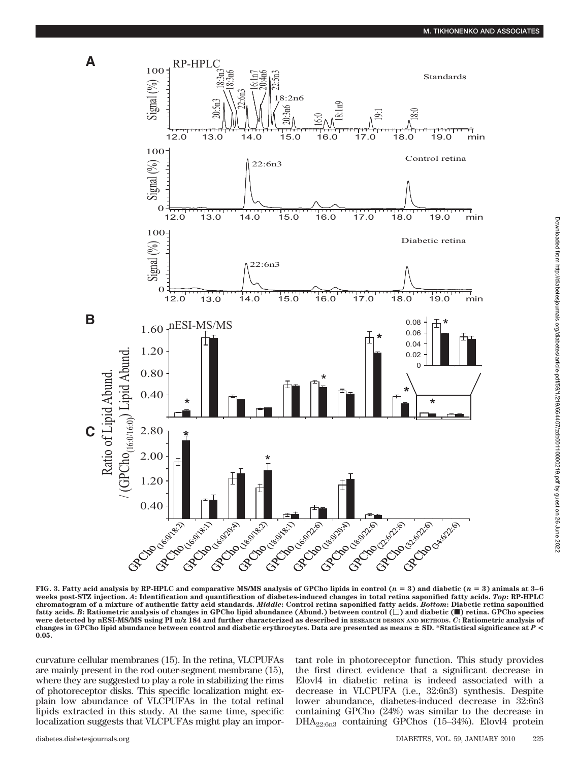



**FIG. 3. Fatty acid analysis by RP-HPLC and comparative MS/MS analysis of GPCho lipids in control (** $n = 3$ **) and diabetic (** $n = 3$ **) animals at 3–6 weeks post-STZ injection.** *A***: Identification and quantification of diabetes-induced changes in total retina saponified fatty acids.** *Top***: RP-HPLC** chromatogram of a mixture of authentic fatty acid standards. *Middle*: Control retina saponified fatty acids. *Bottom*: Diabetic retina saponified<br>fatty acids. *B*: Ratiometric analysis of changes in GPCho lipid abundance **were detected by nESI-MS/MS using PI m/z 184 and further characterized as described in RESEARCH DESIGN AND METHODS.** *C***: Ratiometric analysis of changes in GPCho lipid abundance between control and diabetic erythrocytes. Data are presented as means SD. \*Statistical significance at** *P* **< 0.05.**

curvature cellular membranes (15). In the retina, VLCPUFAs are mainly present in the rod outer-segment membrane (15), where they are suggested to play a role in stabilizing the rims of photoreceptor disks. This specific localization might explain low abundance of VLCPUFAs in the total retinal lipids extracted in this study. At the same time, specific localization suggests that VLCPUFAs might play an important role in photoreceptor function. This study provides the first direct evidence that a significant decrease in Elovl4 in diabetic retina is indeed associated with a decrease in VLCPUFA (i.e., 32:6n3) synthesis. Despite lower abundance, diabetes-induced decrease in 32:6n3 containing GPCho (24%) was similar to the decrease in DHA22:6n3 containing GPChos (15–34%). Elovl4 protein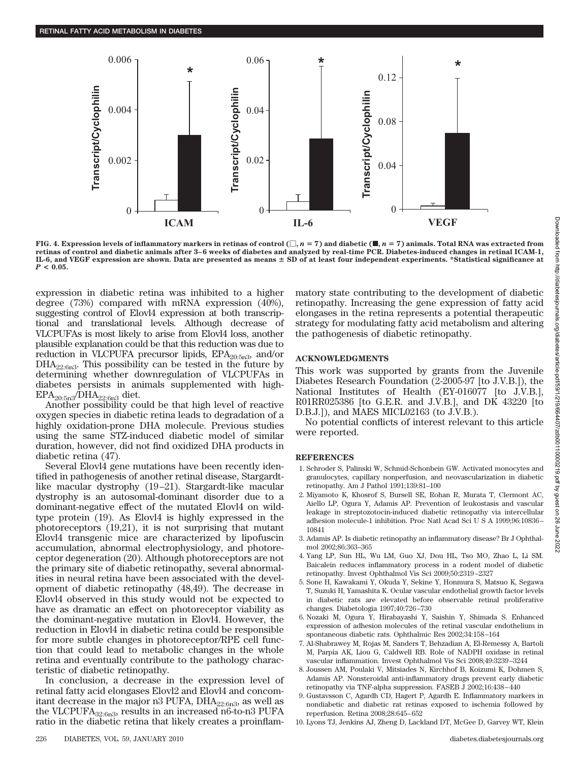

**FIG. 4. Expression levels of inflammatory markers in retinas of control**  $(\Box, n = 7)$  **and diabetic (** $\blacksquare, n = 7$ **) animals. Total RNA was extracted from retinas of control and diabetic animals after 3–6 weeks of diabetes and analyzed by real-time PCR. Diabetes-induced changes in retinal ICAM-1, IL-6, and VEGF expression are shown. Data are presented as means SD of at least four independent experiments. \*Statistical significance at**  $P < 0.05$ .

expression in diabetic retina was inhibited to a higher degree (73%) compared with mRNA expression (40%), suggesting control of Elovl4 expression at both transcriptional and translational levels. Although decrease of VLCPUFAs is most likely to arise from Elovl4 loss, another plausible explanation could be that this reduction was due to reduction in VLCPUFA precursor lipids,  $EPA_{20:5n3}$ , and/or  $DHA_{22:6n3}$ . This possibility can be tested in the future by determining whether downregulation of VLCPUFAs in diabetes persists in animals supplemented with high- $EPA<sub>20:5n3</sub>/DHA<sub>22:6n3</sub>$  diet.

Another possibility could be that high level of reactive oxygen species in diabetic retina leads to degradation of a highly oxidation-prone DHA molecule. Previous studies using the same STZ-induced diabetic model of similar duration, however, did not find oxidized DHA products in diabetic retina (47).

Several Elovl4 gene mutations have been recently identified in pathogenesis of another retinal disease, Stargardtlike macular dystrophy (19 –21). Stargardt-like macular dystrophy is an autosomal-dominant disorder due to a dominant-negative effect of the mutated Elovl4 on wildtype protein (19). As Elovl4 is highly expressed in the photoreceptors (19,21), it is not surprising that mutant Elovl4 transgenic mice are characterized by lipofuscin accumulation, abnormal electrophysiology, and photoreceptor degeneration (20). Although photoreceptors are not the primary site of diabetic retinopathy, several abnormalities in neural retina have been associated with the development of diabetic retinopathy (48,49). The decrease in Elovl4 observed in this study would not be expected to have as dramatic an effect on photoreceptor viability as the dominant-negative mutation in Elovl4. However, the reduction in Elovl4 in diabetic retina could be responsible for more subtle changes in photoreceptor/RPE cell function that could lead to metabolic changes in the whole retina and eventually contribute to the pathology characteristic of diabetic retinopathy.

In conclusion, a decrease in the expression level of retinal fatty acid elongases Elovl2 and Elovl4 and concomitant decrease in the major n3 PUFA,  $DHA_{22:6n3}$ , as well as the VLCPUFA32:6n3, results in an increased n6-to-n3 PUFA ratio in the diabetic retina that likely creates a proinflammatory state contributing to the development of diabetic retinopathy. Increasing the gene expression of fatty acid elongases in the retina represents a potential therapeutic strategy for modulating fatty acid metabolism and altering the pathogenesis of diabetic retinopathy.

#### **ACKNOWLEDGMENTS**

This work was supported by grants from the Juvenile Diabetes Research Foundation (2-2005-97 [to J.V.B.]), the National Institutes of Health (EY-016077 [to J.V.B.], R01RR025386 [to G.E.R. and J.V.B.], and DK 43220 [to D.B.J.]), and MAES MICL02163 (to J.V.B.).

No potential conflicts of interest relevant to this article were reported.

#### **REFERENCES**

- 1. Schroder S, Palinski W, Schmid-Schonbein GW. Activated monocytes and granulocytes, capillary nonperfusion, and neovascularization in diabetic retinopathy. Am J Pathol 1991;139:81–100
- 2. Miyamoto K, Khosrof S, Bursell SE, Rohan R, Murata T, Clermont AC, Aiello LP, Ogura Y, Adamis AP. Prevention of leukostasis and vascular leakage in streptozotocin-induced diabetic retinopathy via intercellular adhesion molecule-1 inhibition. Proc Natl Acad Sci U S A 1999;96:10836 – 10841
- 3. Adamis AP. Is diabetic retinopathy an inflammatory disease? Br J Ophthalmol 2002;86:363–365
- 4. Yang LP, Sun HL, Wu LM, Guo XJ, Dou HL, Tso MO, Zhao L, Li SM. Baicalein reduces inflammatory process in a rodent model of diabetic retinopathy. Invest Ophthalmol Vis Sci 2009;50:2319 –2327
- 5. Sone H, Kawakami Y, Okuda Y, Sekine Y, Honmura S, Matsuo K, Segawa T, Suzuki H, Yamashita K. Ocular vascular endothelial growth factor levels in diabetic rats are elevated before observable retinal proliferative changes. Diabetologia 1997;40:726 –730
- 6. Nozaki M, Ogura Y, Hirabayashi Y, Saishin Y, Shimada S. Enhanced expression of adhesion molecules of the retinal vascular endothelium in spontaneous diabetic rats. Ophthalmic Res 2002;34:158 –164
- 7. Al-Shabrawey M, Rojas M, Sanders T, Behzadian A, El-Remessy A, Bartoli M, Parpia AK, Liou G, Caldwell RB. Role of NADPH oxidase in retinal vascular inflammation. Invest Ophthalmol Vis Sci 2008;49:3239 –3244
- 8. Joussen AM, Poulaki V, Mitsiades N, Kirchhof B, Koizumi K, Dohmen S, Adamis AP. Nonsteroidal anti-inflammatory drugs prevent early diabetic retinopathy via TNF-alpha suppression. FASEB J 2002;16:438 – 440
- 9. Gustavsson C, Agardh CD, Hagert P, Agardh E. Inflammatory markers in nondiabetic and diabetic rat retinas exposed to ischemia followed by reperfusion. Retina 2008;28:645– 652
- 10. Lyons TJ, Jenkins AJ, Zheng D, Lackland DT, McGee D, Garvey WT, Klein